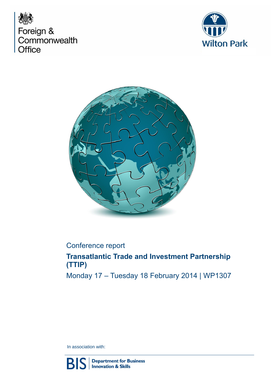





Conference report

## **Transatlantic Trade and Investment Partnership (TTIP)**

Monday 17 – Tuesday 18 February 2014 | WP1307

In association with:

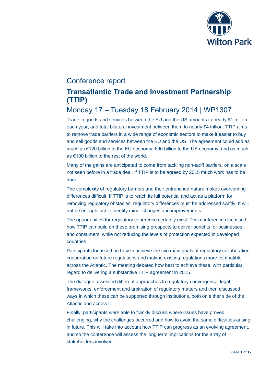

## Conference report

# **Transatlantic Trade and Investment Partnership (TTIP)**

# Monday 17 – Tuesday 18 February 2014 | WP1307

Trade in goods and services between the EU and the US amounts to nearly \$1 trillion each year, and total bilateral investment between them to nearly \$4 trillion. TTIP aims to remove trade barriers in a wide range of economic sectors to make it easier to buy and sell goods and services between the EU and the US. The agreement could add as much as €120 billion to the EU economy, €90 billion to the US economy, and as much as €100 billion to the rest of the world.

Many of the gains are anticipated to come from tackling non-tariff barriers, on a scale not seen before in a trade deal. If TTIP is to be agreed by 2015 much work has to be done.

The complexity of regulatory barriers and their entrenched nature makes overcoming differences difficult. If TTIP is to reach its full potential and act as a platform for removing regulatory obstacles, regulatory differences must be addressed swiftly. It will not be enough just to identify minor changes and improvements.

The opportunities for regulatory coherence certainly exist. This conference discussed how TTIP can build on these promising prospects to deliver benefits for businesses and consumers, while not reducing the levels of protection expected in developed countries.

Participants focussed on how to achieve the two main goals of regulatory collaboration: cooperation on future regulations and making existing regulations more compatible across the Atlantic. The meeting debated how best to achieve these, with particular regard to delivering a substantive TTIP agreement in 2015.

The dialogue assessed different approaches to regulatory convergence, legal frameworks, enforcement and arbitration of regulatory matters and then discussed ways in which these can be supported through institutions, both on either side of the Atlantic and across it.

Finally, participants were able to frankly discuss where issues have proved challenging, why the challenges occurred and how to avoid the same difficulties arising in future. This will take into account how TTIP can progress as an evolving agreement, and so the conference will assess the long term implications for the array of stakeholders involved.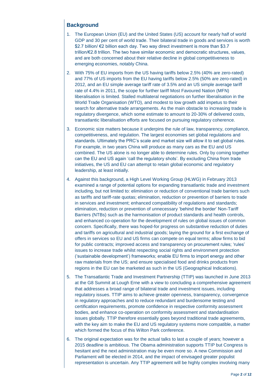### **Background**

- 1. The European Union (EU) and the United States (US) account for nearly half of world GDP and 30 per cent of world trade. Their bilateral trade in goods and services is worth \$2.7 billion/ €2 billion each day. Two way direct investment is more than \$3.7 trillion/€2.8 trillion. The two have similar economic and democratic structures, values, and are both concerned about their relative decline in global competitiveness to emerging economies, notably China.
- 2. With 75% of EU imports from the US having tariffs below 2.5% (40% are zero-rated) and 77% of US imports from the EU having tariffs below 2.5% (50% are zero-rated) in 2012, and an EU simple average tariff rate of 3.5% and an US simple average tariff rate of 4.4% in 2011, the scope for further tariff Most Favoured Nation (MFN) liberalisation is limited. Stalled multilateral negotiations on further liberalisation in the World Trade Organisation (WTO), and modest to low growth add impetus to their search for alternative trade arrangements. As the main obstacle to increasing trade is regulatory divergence, which some estimate to amount to 20-30% of delivered costs, transatlantic liberalisation efforts are focused on pursuing regulatory coherence.
- 3. Economic size matters because it underpins the rule of law, transparency, compliance, competitiveness, and regulation. The largest economies set global regulations and standards. Ultimately the PRC's scale and market size will allow it to set global rules. For example, in two years China will produce as many cars as the EU and US combined. The US alone is no longer able to determine rules. Only by coming together can the EU and US again 'call the regulatory shots'. By excluding China from trade initiatives, the US and EU can attempt to retain global economic and regulatory leadership, at least initially.
- 4. Against this background, a High Level Working Group (HLWG) in February 2013 examined a range of potential options for expanding transatlantic trade and investment including, but not limited to: elimination or reduction of conventional trade barriers such as tariffs and tariff-rate quotas; elimination, reduction or prevention of barriers to trade in services and investment; enhanced compatibility of regulations and standards; elimination, reduction or prevention of unnecessary 'behind the border' Non-Tariff Barriers (NTBs) such as the harmonisation of product standards and health controls, and enhanced co-operation for the development of rules on global issues of common concern. Specifically, there was hoped-for progress on substantive reduction of duties and tariffs on agricultural and industrial goods; laying the ground for a first exchange of offers in services so EU and US firms can compete on equal terms; allow firms to bid for public contracts; improved access and transparency on procurement rules; 'rules' issues to increase trade whilst respecting social rights and environment protection ('sustainable development') frameworks; enable EU firms to import energy and other raw materials from the US; and ensure specialised food and drinks products from regions in the EU can be marketed as such in the US (Geographical Indications).
- 5. The Transatlantic Trade and Investment Partnership (TTIP) was launched in June 2013 at the G8 Summit at Lough Erne with a view to concluding a comprehensive agreement that addresses a broad range of bilateral trade and investment issues, including regulatory issues. TTIP aims to achieve greater openness, transparency, convergence in regulatory approaches and to reduce redundant and burdensome testing and certification requirements, promote confidence in respective conformity assessment bodies, and enhance co-operation on conformity assessment and standardisation issues globally. TTIP therefore essentially goes beyond traditional trade agreements, with the key aim to make the EU and US regulatory systems more compatible, a matter which formed the focus of this Wilton Park conference.
- 6. The original expectation was for the actual talks to last a couple of years; however a 2015 deadline is ambitious. The Obama administration supports TTIP but Congress is hesitant and the next administration may be even more so. A new Commission and Parliament will be elected in 2014, and the impact of envisaged greater populist representation is uncertain. Any TTIP agreement will be highly complex involving many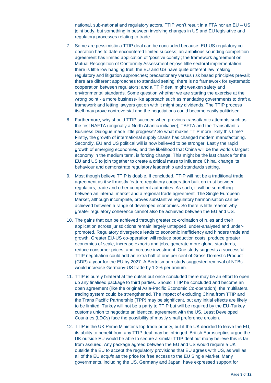national, sub-national and regulatory actors. TTIP won't result in a FTA nor an EU – US joint body, but something in between involving changes in US and EU legislative and regulatory processes relating to trade.

- 7. Some are pessimistic a TTIP deal can be concluded because: EU-US regulatory cooperation has to date encountered limited success; an ambitious sounding competition agreement has limited application of 'positive comity'; the framework agreement on Mutual Recognition of Conformity Assessment enjoys little sectoral implementation; there is little low hanging fruit; the EU and US have quite different law making, regulatory and litigation approaches; precautionary versus risk based principles prevail; there are different approaches to standard setting; there is no framework for systematic cooperation between regulators; and a TTIP deal might weaken safety and environmental standards. Some question whether we are starting the exercise at the wrong point - a more business-like approach such as mandating governments to draft a framework and letting lawyers get on with it might pay dividends. The TTIP process itself may prove controversial and the negotiations could become easily politicised.
- 8. Furthermore, why should TTIP succeed when previous transatlantic attempts such as the first NAFTA (originally a North Atlantic initiative); TAFTA and the Transatlantic Business Dialogue made little progress? So what makes TTIP more likely this time? Firstly, the growth of international supply chains has changed modern manufacturing. Secondly, EU and US political will is now believed to be stronger. Lastly the rapid growth of emerging economies, and the likelihood that China will be the world's largest economy in the medium term, is forcing change. This might be the last chance for the EU and US to join together to create a critical mass to influence China, change its behaviour and demonstrate regulatory leadership and standards setting.
- 9. Most though believe TTIP is doable. If concluded, TTIP will not be a traditional trade agreement as it will mostly feature regulatory cooperation built on trust between regulators, trade and other competent authorities. As such, it will be something between an internal market and a regional trade agreement. The Single European Market, although incomplete, proves substantive regulatory harmonisation can be achieved between a range of developed economies. So there is little reason why greater regulatory coherence cannot also be achieved between the EU and US.
- 10. The gains that can be achieved through greater co-ordination of rules and their application across jurisdictions remain largely untapped, under-analysed and underpromoted. Regulatory divergence leads to economic inefficiency and hinders trade and growth. Greater EU-US co-operation will reduce production costs, produce greater economies of scale, increase exports and jobs, generate more global standards, reduce consumer prices, and increase investment. One study suggests a successful TTIP negotiation could add an extra half of one per cent of Gross Domestic Product (GDP) a year for the EU by 2027. A Bertelsmann study suggested removal of NTBs would increase Germany-US trade by 1-2% per annum.
- 11. TTIP is purely bilateral at the outset but once concluded there may be an effort to open up any finalised package to third parties. Should TTIP be concluded and become an open agreement (like the original Asia-Pacific Economic Co-operation), the multilateral trading system could be strengthened. The impact of excluding China from TTIP and the Trans Pacific Partnership (TPP) may be significant, but any initial effects are likely to be limited. Turkey will not be a party to TTIP but will be required by the EU-Turkey customs union to negotiate an identical agreement with the US. Least Developed Countries (LDCs) face the possibility of mostly small preference erosion.
- 12. TTIP is the UK Prime Minister's top trade priority, but if the UK decided to leave the EU, its ability to benefit from any TTIP deal may be infringed. British Eurosceptics argue the UK outside EU would be able to secure a similar TTIP deal but many believe this is far from assured. Any package agreed between the EU and US would require a UK outside the EU to accept the regulatory provisions that EU agrees with US, as well as all of the EU *acquis* as the price for free access to the EU Single Market. Many governments, including the US, Germany and Japan, have expressed support for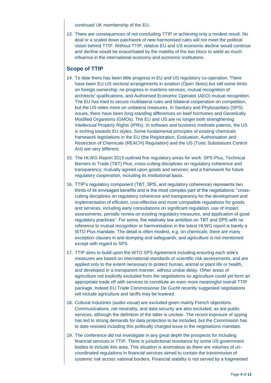continued UK membership of the EU.

13. There are consequences of not concluding TTIP or achieving only a modest result. No deal or a scaled down patchwork of new harmonised rules will not meet the political vision behind TTIP. Without TTIP, relative EU and US economic decline would continue and decline would be exacerbated by the inability of the two blocs to wield as much influence in the international economy and economic institutions.

### **Scope of TTIP**

- 14. To date there has been little progress in EU and US regulatory co-operation. There have been EU-US sectoral arrangements in aviation (Open Skies) but still some limits on foreign ownership; no progress in maritime services; mutual recognition of architects' qualifications, and Authorised Economic Operator (AEO) mutual recognition. The EU has tried to secure multilateral rules and bilateral cooperation on competition, but the US relies more on unilateral measures. In Sanitary and Phytosanitary (SPS) issues, there have been long-standing differences on beef hormones and Genetically Modified Organisms (GMOs). The EU and US are no longer both strengthening Intellectual Property Rights (IPRs). In software and business methods patents, the US is inching towards EU styles. Some fundamental principles of existing chemicals framework legislations in the EU (the Registration, Evaluation, Authorisation and Restriction of Chemicals (REACH) Regulation) and the US (Toxic Substances Control Act) are very different.
- 15. The HLWG Report 2013 outlined five regulatory areas for work: SPS-Plus, Technical Barriers to Trade (TBT) Plus; cross-cutting disciplines on regulatory coherence and transparency; mutually agreed upon goods and services; and a framework for future regulatory cooperation, including its institutional basis.
- 16. TTIP's regulatory component (TBT, SPS, and regulatory coherence) represents two thirds of its envisaged benefits and is the most complex part of the negotiations: "crosscutting disciplines on regulatory coherence and transparency for the development and implementation of efficient, cost-effective and more compatible regulations for goods and services, including early consultations on significant regulation, use of impact assessments, periodic review on existing regulatory measures, and application of good regulatory practices". For some, the relatively low ambition on TBT and SPS with no reference to mutual recognition or harmonisation in the latest HLWG report is barely a WTO Plus mandate. The detail is often modest, e.g. on chemicals; there are many exception clauses in anti-dumping and safeguards; and agriculture is not mentioned except with regard to SPS.
- 17. TTIP aims to build upon the WTO SPS Agreement including ensuring each side's measures are based on international standards or scientific risk assessments, and are applied only to the extent necessary to protect human, animal or plant life or health, and developed in a transparent manner, without undue delay. Other areas of agriculture not explicitly excluded from the negotiations so agriculture could yet form an appropriate trade off with services to constitute an even more meaningful overall TTIP package. Indeed EU Trade Commissioner De Gucht recently suggested negotiations will include agriculture and tariffs may be lowered.
- 18. Cultural industries (audio-visual) are excluded given mainly French objections. Communications, net neutrality, and data security are also excluded, as are public services, although the definition of the latter is unclear. The recent exposure of spying has led to strong demands for data protection to be included, but the Commission has to date resisted including this politically charged issue in the negotiations mandate.
- 19. The conference did not investigate in any great depth the prospects for including financial services in TTIP. There is jurisdictional resistance by some US government bodies to include this area. This situation is anomalous as there are volumes of uncoordinated regulations in financial services aimed to contain the transmission of systemic risk across national borders. Financial stability is not served by a fragmented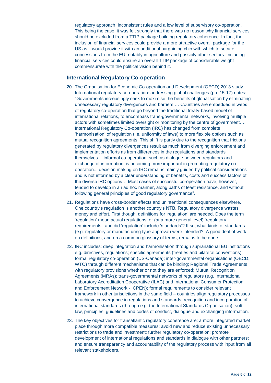regulatory approach, inconsistent rules and a low level of supervisory co-operation. This being the case, it was felt strongly that there was no reason why financial services should be excluded from a TTIP package building regulatory coherence. In fact, the inclusion of financial services could provide a more attractive overall package for the US as it would provide it with an additional bargaining chip with which to secure concessions from the EU, notably in agriculture and possibly other sectors. Including financial services could ensure an overall TTIP package of considerable weight commensurate with the political vision behind it.

#### **International Regulatory Co-operation**

- 20. The Organisation for Economic Co-operation and Development (OECD) 2013 study International regulatory co-operation: addressing global challenges (pp. 15-17) notes: "Governments increasingly seek to maximise the benefits of globalisation by eliminating unnecessary regulatory divergences and barriers … Countries are embedded in webs of regulatory co-operation that go beyond the traditional treaty-based model of international relations, to encompass trans-governmental networks, involving multiple actors with sometimes limited oversight or monitoring by the centre of government…. International Regulatory Co-operation (IRC) has changed from complete 'harmonisation' of regulation (i.e. uniformity of laws) to more flexible options such as mutual recognition agreements. This shift is partly due to the recognition that frictions generated by regulatory divergences result as much from diverging enforcement and implementation efforts as from differences in the regulations and standards themselves….informal co-operation, such as dialogue between regulators and exchange of information, is becoming more important in promoting regulatory cooperation... decision making on IRC remains mainly guided by political considerations and is not informed by a clear understanding of benefits, costs and success factors of the diverse IRC options… Most cases of successful co-operation have, however, tended to develop in an ad hoc manner, along paths of least resistance, and without following general principles of good regulatory governance".
- 21. Regulations have cross-border effects and unintentional consequences elsewhere. One country's regulation is another country's NTB. Regulatory divergence wastes money and effort. First though, definitions for 'regulation' are needed. Does the term 'regulation' mean actual regulations, or (at a more general level) 'regulatory requirements', and did 'regulation' include 'standards'? If so, what kinds of standards (e.g. regulatory or manufacturing type approval) were intended? A good deal of work on definitions, and on a common glossary of terms, remains to be done.
- 22. IRC includes: deep integration and harmonisation through supranational EU institutions e.g. directives, regulations; specific agreements (treaties and bilateral conventions); formal regulatory co-operation (US-Canada); inter-governmental organisations (OECD, WTO) through different mechanisms that can be binding; Regional Trade Agreements with regulatory provisions whether or not they are enforced; Mutual Recognition Agreements (MRAs); trans-governmental networks of regulators (e.g. International Laboratory Accreditation Cooperative (ILAC) and International Consumer Protection and Enforcement Network - ICPEN); formal requirements to consider relevant framework in other jurisdictions in the same field – countries align regulatory processes to achieve convergence in regulations and standards; recognition and incorporation of international standards (through e.g. the International Standards Organisation); soft law, principles, guidelines and codes of conduct, dialogue and exchanging information.
- 23. The key objectives for transatlantic regulatory coherence are: a more integrated market place through more compatible measures; avoid new and reduce existing unnecessary restrictions to trade and investment; further regulatory co-operation; promote development of international regulations and standards in dialogue with other partners; and ensure transparency and accountability of the regulatory process with input from all relevant stakeholders.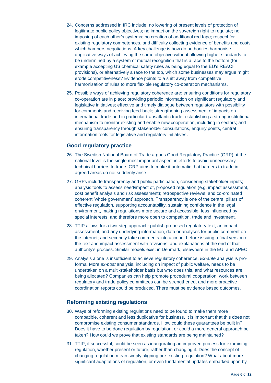- 24. Concerns addressed in IRC include: no lowering of present levels of protection of legitimate public policy objectives; no impact on the sovereign right to regulate; no imposing of each other's systems; no creation of additional red tape; respect for existing regulatory competences, and difficulty collecting evidence of benefits and costs which hampers negotiations. A key challenge is how do authorities harmonise duplicative ways of achieving the same objective without allowing higher standards to be undermined by a system of mutual recognition that is a race to the bottom (for example accepting US chemical safety rules as being equal to the EU's REACH provisions), or alternatively a race to the top, which some businesses may argue might erode competitiveness? Evidence points to a shift away from competitive harmonisation of rules to more flexible regulatory co-operation mechanisms.
- 25. Possible ways of achieving regulatory coherence are: ensuring conditions for regulatory co-operation are in place; providing periodic information on significant regulatory and legislative initiatives; effective and timely dialogue between regulators with possibility for comments and receiving feed-back; strengthening assessment of impacts on international trade and in particular transatlantic trade; establishing a strong institutional mechanism to monitor existing and enable new cooperation, including in sectors; and ensuring transparency through stakeholder consultations, enquiry points, central information tools for legislative and regulatory initiatives.

#### **Good regulatory practice**

- 26. The Swedish National Board of Trade argues Good Regulatory Practice (GRP) at the national level is the single most important aspect in efforts to avoid unnecessary technical barriers to trade. GRP aims to make it automatic that barriers to trade in agreed areas do not suddenly arise.
- 27. GRPs include transparency and public participation, considering stakeholder inputs; analysis tools to assess need/impact of, proposed regulation (e.g. impact assessment, cost benefit analysis and risk assessment); retrospective reviews; and co-ordinated coherent 'whole government' approach. Transparency is one of the central pillars of effective regulation, supporting accountability, sustaining confidence in the legal environment, making regulations more secure and accessible, less influenced by special interests, and therefore more open to competition, trade and investment.
- 28. TTIP allows for a two-step approach: publish proposed regulatory text, an impact assessment, and any underlying information, data or analyses for public comment on the internet; and secondly take comments into account before issuing a final version of the text and impact assessment with revisions, and explanations at the end of that authority's process. Similar models exist in Denmark, elsewhere in the EU, and APEC.
- 29. Analysis alone is insufficient to achieve regulatory coherence. *Ex-ante* analysis is proforma. More *ex-post* analysis, including on impact of public welfare, needs to be undertaken on a multi-stakeholder basis but who does this, and what resources are being allocated? Companies can help promote procedural cooperation; work between regulatory and trade policy committees can be strengthened, and more proactive coordination reports could be produced. There must be evidence based outcomes.

#### **Reforming existing regulations**

- 30. Ways of reforming existing regulations need to be found to make them more compatible, coherent and less duplicative for business. It is important that this does not compromise existing consumer standards. How could these guarantees be built in? Does it have to be done regulation by regulation, or could a more general approach be taken? How could we prove that existing standards are being maintained?
- 31. TTIP, if successful, could be seen as inaugurating an improved process for examining regulation, whether present or future, rather than changing it. Does the concept of changing regulation mean simply aligning pre-existing regulation? What about more significant adaptations of regulation, or even fundamental updates embarked upon by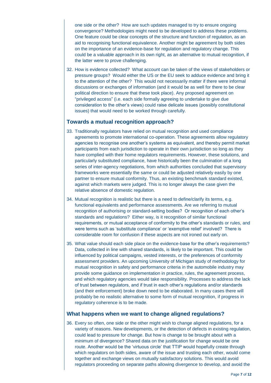one side or the other? How are such updates managed to try to ensure ongoing convergence? Methodologies might need to be developed to address these problems. One feature could be clear concepts of the structure and function of regulation, as an aid to recognising functional equivalence. Another might be agreement by both sides on the importance of an evidence-base for regulation and regulatory change. This could be a valuable approach in its own right, as an alternative to mutual recognition, if the latter were to prove challenging.

32. How is evidence collected? What account can be taken of the views of stakeholders or pressure groups? Would either the US or the EU seek to adduce evidence and bring it to the attention of the other? This would not necessarily matter if there were informal discussions or exchanges of information (and it would be as well for there to be clear political direction to ensure that these took place). Any proposed agreement on "privileged access" (i.e. each side formally agreeing to undertake to give due consideration to the other's views) could raise delicate issues (possibly constitutional issues) that would need to be worked through carefully.

#### **Towards a mutual recognition approach?**

- 33. Traditionally regulators have relied on mutual recognition and used compliance agreements to promote international co-operation. These agreements allow regulatory agencies to recognise one another's systems as equivalent, and thereby permit market participants from each jurisdiction to operate in their own jurisdiction so long as they have complied with their home regulators requirements. However, these solutions, and particularly substituted compliance, have historically been the culmination of a long series of inter-agency negotiations, from which authorities concluded that supervisory frameworks were essentially the same or could be adjusted relatively easily by one partner to ensure mutual conformity. Thus, an existing benchmark standard existed, against which markets were judged. This is no longer always the case given the relative absence of domestic regulation.
- 34. Mutual recognition is realistic but there is a need to define/clarify its terms, e.g. functional equivalents and performance assessments. Are we referring to mutual recognition of authorising or standard-setting bodies? Or recognition of each other's standards and regulations? Either way, is it recognition of similar functional requirements, or mutual acceptance of conformity to the other's standards or rules, and were terms such as 'substitute compliance' or 'exemptive relief' involved? There is considerable room for confusion if these aspects are not ironed out early on.
- 35. What value should each side place on the evidence-base for the other's requirements? Data, collected in line with shared standards, is likely to be important. This could be influenced by political campaigns, vested interests, or the preferences of conformity assessment providers. An upcoming University of Michigan study of methodology for mutual recognition in safety and performance criteria in the automobile industry may provide some guidance on implementation in practice, rules, the agreement process, and which regulatory agencies would take responsibility. Processes to address the lack of trust between regulators, and if trust in each other's regulations and/or standards (and their enforcement) broke down need to be elaborated. In many cases there will probably be no realistic alternative to some form of mutual recognition, if progress in regulatory coherence is to be made.

#### **What happens when we want to change aligned regulations?**

36. Every so often, one side or the other might wish to change aligned regulations, for a variety of reasons. New developments, or the detection of defects in existing regulation, could lead to pressure for change. But how is change to be brought about with a minimum of divergence? Shared data on the justification for change would be one route. Another would be the 'virtuous circle' that TTIP would hopefully create through which regulators on both sides, aware of the issue and trusting each other, would come together and exchange views on mutually satisfactory solutions. This would avoid regulators proceeding on separate paths allowing divergence to develop, and avoid the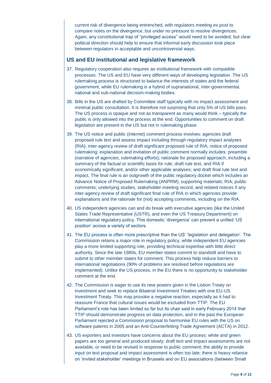current risk of divergence being entrenched, with regulators meeting *ex-post* to compare notes on the divergence, but under no pressure to resolve divergences. Again, any constitutional trap of "privileged access" would need to be avoided; but clear political direction should help to ensure that informal early discussion took place between regulators in acceptable and uncontroversial ways.

#### **US and EU institutional and legislative framework**

- 37. Regulatory cooperation also requires an institutional framework with compatible processes. The US and EU have very different ways of developing legislation. The US rulemaking process is structured to balance the interests of states and the federal government, while EU rulemaking is a hybrid of supranational, inter-governmental, national and sub-national decision-making bodies.
- 38. Bills in the US are drafted by Committee staff typically with no impact assessment and minimal public consultation. It is therefore not surprising that only 5% of US bills pass. The US process is opaque and not as transparent as many would think – typically the public is only allowed into the process at the end. Opportunities to comment on draft legislation are present in the US but not in rulemaking phase.
- 39. The US notice and public (internet) comment process involves: agencies draft proposed rule text and assess impact including through regulatory impact analyses (RIA); inter-agency review of draft significant proposed rule of RIA; notice of proposed rulemaking; explanation and invitation of public comment normally includes: preamble (narrative of agencies, rulemaking efforts); rationale for proposed approach, including a summary of the factual or scientific basis for rule; draft rule text, and RIA if economically significant, and/or other applicable analyses; and draft final rule text and impact. The final rule is an outgrowth of the public regulatory docket which includes an Advance Notice of Proposed Rulemaking (ANPRM); supporting materials; RIA; public comments; underlying studies, stakeholder meeting record, and related notices if any inter-agency review of draft significant final rule of RIA in which agencies provide explanations and the rationale for (not) accepting comments, including on the RIA.
- 40. US independent agencies can and do break with executive agencies (like the United States Trade Representative (USTR), and even the US Treasury Department) on international regulatory policy. This domestic 'divergence' can prevent a unified 'US position' across a variety of sectors.
- 41. The EU process is often more prescriptive than the US' 'legislation and delegation'. The Commission retains a major role in regulatory policy, while independent EU agencies play a more limited supporting role, providing technical expertise with little direct authority. Since the late 1980s, EU member states commit to standstill and have to submit to other member states for comment. This process help reduce barriers to international negotiations (90% of problems are resolved before regulations are implemented). Unlike the US process, in the EU there is no opportunity to stakeholder comment at the end.
- 42. The Commission is eager to use its new powers given in the Lisbon Treaty on investment and seek to replace Bilateral Investment Treaties with one EU-US Investment Treaty. This may provoke a negative reaction, especially as it had to reassure France that cultural issues would be excluded from TTIP. The EU Parliament's role has been limited so far but its chair said in early February 2014 that TTIP should demonstrate progress on data protection, and in the past the European Parliament rejected a Commission proposal to harmonise EU rules with the US on software patents in 2005 and an Anti-Counterfeiting Trade Agreement (ACTA) in 2012.
- 43. US exporters and investors have concerns about the EU process: white and green papers are too general and produced slowly; draft text and impact assessments are not available, or need to be revised in response to public comment; the ability to provide input on text proposal and impact assessment is often too late; there is heavy reliance on 'invited stakeholder' meetings in Brussels and on EU associations (between Small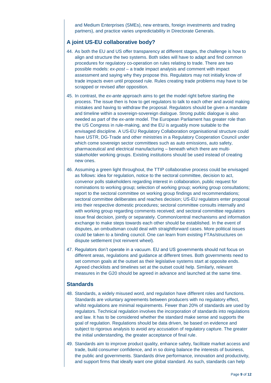and Medium Enterprises (SMEs), new entrants, foreign investments and trading partners), and practice varies unpredictability in Directorate Generals.

#### **A joint US-EU collaborative body?**

- 44. As both the EU and US offer transparency at different stages, the challenge is how to align and structure the two systems. Both sides will have to adapt and find common procedures for regulatory co-operation on rules relating to trade. There are two possible models: *ex-post –* a trade impact analysis and comment with impact assessment and saying why they propose this. Regulators may not initially know of trade impacts even until proposed rule. Rules creating trade problems may have to be scrapped or revised after opposition.
- 45. In contrast, the *ex-ante* approach aims to get the model right before starting the process. The issue then is how to get regulators to talk to each other and avoid making mistakes and having to withdraw the proposal. Regulators should be given a mandate and timeline within a sovereign-sovereign dialogue. Strong public dialogue is also needed as part of the *ex-ante* model. The European Parliament has greater role than the US Congress in rule-making, and the EU is arguably more suitable to the envisaged discipline. A US-EU Regulatory Collaboration organisational structure could have USTR, DG-Trade and other ministries in a Regulatory Cooperation Council under which come sovereign sector committees such as auto emissions, auto safety, pharmaceutical and electrical manufacturing – beneath which there are multistakeholder working groups. Existing institutions should be used instead of creating new ones.
- 46. Assuming a green light throughout, the TTIP collaborative process could be envisaged as follows: idea for regulation, notice to the sectoral committee, decision to act, convenor polls stakeholders regarding interest in collaboration, public request for nominations to working group; selection of working group; working group consultations; report to the sectoral committee on working group findings and recommendations; sectoral committee deliberates and reaches decision; US-EU regulators enter proposal into their respective domestic procedures; sectoral committee consults internally and with working group regarding comments received; and sectoral committee regulators issue final decision, jointly or separately. Common/central mechanisms and information exchange to make steps towards each other should be established. In the event of disputes, an ombudsman could deal with straightforward cases. More political issues could be taken to a binding council. One can learn from existing FTAs/structures on dispute settlement (not reinvent wheel).
- 47. Regulators don't operate in a vacuum. EU and US governments should not focus on different areas, regulations and guidance at different times. Both governments need to set common goals at the outset as their legislative systems start at opposite ends. Agreed checklists and timelines set at the outset could help. Similarly, relevant measures in the G20 should be agreed in advance and launched at the same time.

#### **Standards**

- 48. Standards, a widely misused word, and regulation have different roles and functions. Standards are voluntary agreements between producers with no regulatory effect, whilst regulations are minimal requirements. Fewer than 20% of standards are used by regulators. Technical regulation involves the incorporation of standards into regulations and law. It has to be considered whether the standard make sense and supports the goal of regulation. Regulations should be data driven, be based on evidence and subject to rigorous analysis to avoid any accusation of regulatory capture. The greater the initial understanding, the greater acceptance of final rule.
- 49. Standards aim to improve product quality, enhance safety, facilitate market access and trade, build consumer confidence, and in so doing balance the interests of business, the public and governments. Standards drive performance, innovation and productivity, and support firms that ideally want one global standard. As such, standards can help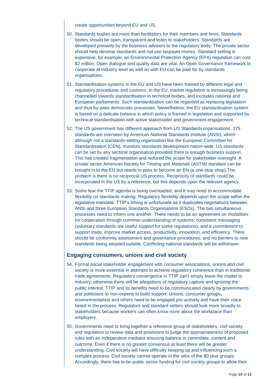create opportunities beyond EU and US.

- 50. Standards bodies are more than facilitators for their members and firms. Standards bodies should be open, transparent and listen to stakeholders. Standards are developed primarily by the business advisors to the regulatory body. The private sector should help develop standards and not use taxpayer money. Standard setting is expensive; for example, an Environmental Protection Agency (EPA) regulation can cost \$2 million. Open dialogue and quality data are vital. An Open Governance framework to cooperate at industry level as well as with EU can be paid for by standards organisations.
- 51. Standardisation systems in the EU and US have been framed by different legal and regulatory procedures and customs. In the EU, market regulation is increasingly being channelled towards standardisation in technical bodies, and excludes national and European parliaments. Such standardisation can be regarded as replacing legislation and thus by-pass democratic processes. Nevertheless, the EU standardisation system is based on a delicate balance in which policy is framed in legislation and supported by technical standardisation with active stakeholder and government engagement.
- 52. The US government has different approach from US Standards organisations. 275 standards are overseen by American National Standards Institute (ANSI), which although not a standards-setting organisation like the European Committee for Standardisation (CEN), monitors standards development nation-wide. US standards can be set by any sectoral organisation provided there is enough business support. This has created fragmentation and reduced the scope for stakeholder oversight. A private sector American Society for Testing and Materials (ASTM) standard can be brought in to the EU but needs to pass to become an EN (a one-stop shop).The problem is there is no reciprocal US process. Reciprocity of standards could be incorporated in the US by a reference, but this depends upon the relevant agency.
- 53. Some fear the TTIP agenda is being overloaded, and it may need to accommodate flexibility on standards making. Regulatory flexibility depends upon the scope within the legislative mandate. TTIP's timing is unfortunate as it duplicates negotiations between ANSI and three European Standards Organisations (ESOs). The two simultaneous processes need to inform one another. There needs to be an agreement on modalities for cooperation through common understanding of systems; consistent messaging (voluntary standards are useful support for some regulations), and a commitment to support trade, improve market access, productivity, innovation, and efficiency. There should be conformity assessment and governance procedures, and no barriers to new standards being adopted outside. Conflicting national standards will be withdrawn.

#### **Engaging consumers, unions and civil society**

- 54. Formal social stakeholder engagement with consumer associations, unions and civil society is more essential in attempts to achieve regulatory coherence than in traditional trade agreements. Regulatory convergence in TTIP can't simply leave the matter to industry; otherwise there will be allegations of regulatory capture and ignoring the public interest. TTIP and its benefits need to be communicated clearly by governments and politicians to non-experts to build support. Unions, consumer groups, environmentalists and others need to be engaged pro-actively and have their voice heard in the process. Regulators and standard setters should look more broadly to stakeholders because workers can often know more about the workplace than employers.
- 55. Governments need to bring together a reference group of stakeholders, civil society and regulators to review data and provisions to judge the appropriateness of proposed rules with an independent mediator ensuring balance in committee, content and outcome. Even if there is no greater consensus at least there will be greater understanding. Civil society will have difficulty keeping up and influencing such a complex process. Civil society cannot operate in the silos of the 80 plus groups. Accordingly, there has to be public sector funding for civil society groups to allow their